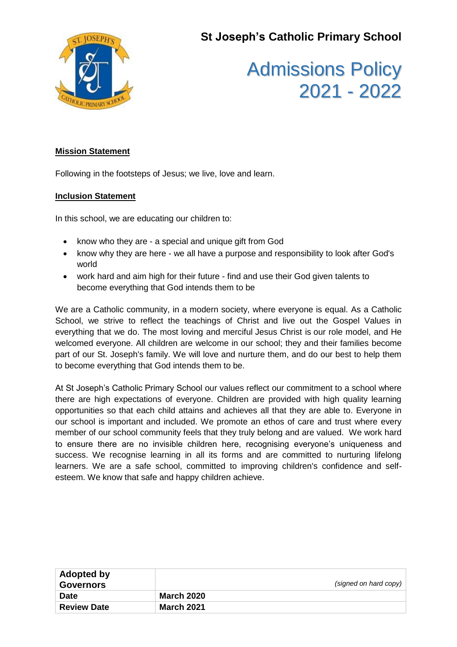**St Joseph's Catholic Primary School**



# Admissions Policy 2021 - 2022

#### **Mission Statement**

Following in the footsteps of Jesus; we live, love and learn.

#### **Inclusion Statement**

In this school, we are educating our children to:

- know who they are a special and unique gift from God
- know why they are here we all have a purpose and responsibility to look after God's world
- work hard and aim high for their future find and use their God given talents to become everything that God intends them to be

We are a Catholic community, in a modern society, where everyone is equal. As a Catholic School, we strive to reflect the teachings of Christ and live out the Gospel Values in everything that we do. The most loving and merciful Jesus Christ is our role model, and He welcomed everyone. All children are welcome in our school; they and their families become part of our St. Joseph's family. We will love and nurture them, and do our best to help them to become everything that God intends them to be.

At St Joseph's Catholic Primary School our values reflect our commitment to a school where there are high expectations of everyone. Children are provided with high quality learning opportunities so that each child attains and achieves all that they are able to. Everyone in our school is important and included. We promote an ethos of care and trust where every member of our school community feels that they truly belong and are valued. We work hard to ensure there are no invisible children here, recognising everyone's uniqueness and success. We recognise learning in all its forms and are committed to nurturing lifelong learners. We are a safe school, committed to improving children's confidence and selfesteem. We know that safe and happy children achieve.

| Adopted by<br><b>Governors</b> | (signed on hard copy) |
|--------------------------------|-----------------------|
| <b>Date</b>                    | <b>March 2020</b>     |
| <b>Review Date</b>             | <b>March 2021</b>     |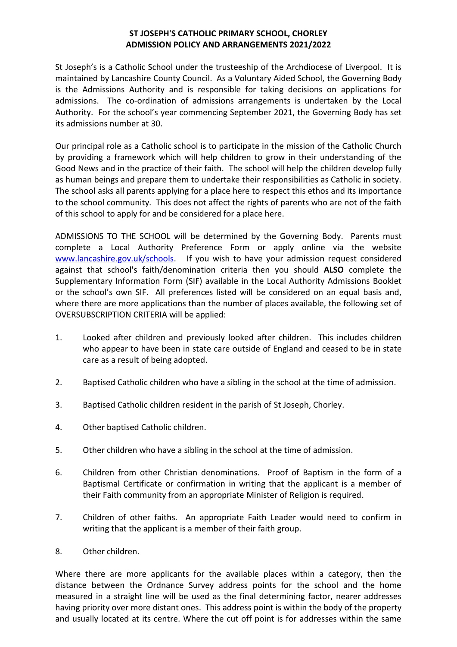### **ST JOSEPH'S CATHOLIC PRIMARY SCHOOL, CHORLEY ADMISSION POLICY AND ARRANGEMENTS 2021/2022**

St Joseph's is a Catholic School under the trusteeship of the Archdiocese of Liverpool. It is maintained by Lancashire County Council. As a Voluntary Aided School, the Governing Body is the Admissions Authority and is responsible for taking decisions on applications for admissions. The co-ordination of admissions arrangements is undertaken by the Local Authority. For the school's year commencing September 2021, the Governing Body has set its admissions number at 30.

Our principal role as a Catholic school is to participate in the mission of the Catholic Church by providing a framework which will help children to grow in their understanding of the Good News and in the practice of their faith. The school will help the children develop fully as human beings and prepare them to undertake their responsibilities as Catholic in society. The school asks all parents applying for a place here to respect this ethos and its importance to the school community. This does not affect the rights of parents who are not of the faith of this school to apply for and be considered for a place here.

ADMISSIONS TO THE SCHOOL will be determined by the Governing Body. Parents must complete a Local Authority Preference Form or apply online via the website [www.lancashire.gov.uk/schools.](http://www.lancashire.gov.uk/schools) If you wish to have your admission request considered against that school's faith/denomination criteria then you should **ALSO** complete the Supplementary Information Form (SIF) available in the Local Authority Admissions Booklet or the school's own SIF. All preferences listed will be considered on an equal basis and, where there are more applications than the number of places available, the following set of OVERSUBSCRIPTION CRITERIA will be applied:

- 1. Looked after children and previously looked after children. This includes children who appear to have been in state care outside of England and ceased to be in state care as a result of being adopted.
- 2. Baptised Catholic children who have a sibling in the school at the time of admission.
- 3. Baptised Catholic children resident in the parish of St Joseph, Chorley.
- 4. Other baptised Catholic children.
- 5. Other children who have a sibling in the school at the time of admission.
- 6. Children from other Christian denominations. Proof of Baptism in the form of a Baptismal Certificate or confirmation in writing that the applicant is a member of their Faith community from an appropriate Minister of Religion is required.
- 7. Children of other faiths. An appropriate Faith Leader would need to confirm in writing that the applicant is a member of their faith group.

#### 8. Other children.

Where there are more applicants for the available places within a category, then the distance between the Ordnance Survey address points for the school and the home measured in a straight line will be used as the final determining factor, nearer addresses having priority over more distant ones. This address point is within the body of the property and usually located at its centre. Where the cut off point is for addresses within the same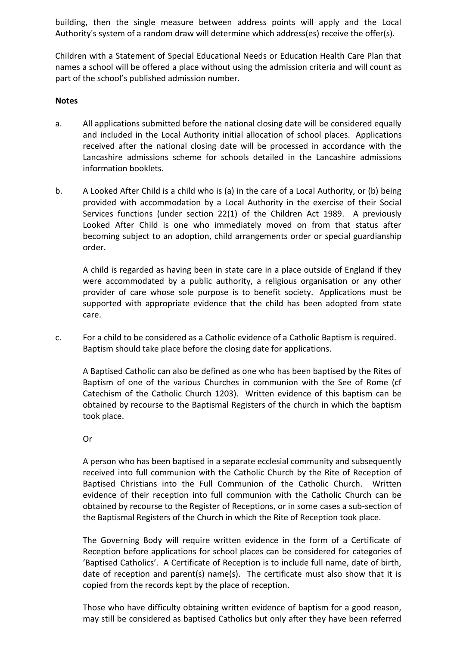building, then the single measure between address points will apply and the Local Authority's system of a random draw will determine which address(es) receive the offer(s).

Children with a Statement of Special Educational Needs or Education Health Care Plan that names a school will be offered a place without using the admission criteria and will count as part of the school's published admission number.

#### **Notes**

- a. All applications submitted before the national closing date will be considered equally and included in the Local Authority initial allocation of school places. Applications received after the national closing date will be processed in accordance with the Lancashire admissions scheme for schools detailed in the Lancashire admissions information booklets.
- b. A Looked After Child is a child who is (a) in the care of a Local Authority, or (b) being provided with accommodation by a Local Authority in the exercise of their Social Services functions (under section 22(1) of the Children Act 1989. A previously Looked After Child is one who immediately moved on from that status after becoming subject to an adoption, child arrangements order or special guardianship order.

A child is regarded as having been in state care in a place outside of England if they were accommodated by a public authority, a religious organisation or any other provider of care whose sole purpose is to benefit society. Applications must be supported with appropriate evidence that the child has been adopted from state care.

c. For a child to be considered as a Catholic evidence of a Catholic Baptism is required. Baptism should take place before the closing date for applications.

A Baptised Catholic can also be defined as one who has been baptised by the Rites of Baptism of one of the various Churches in communion with the See of Rome (cf Catechism of the Catholic Church 1203). Written evidence of this baptism can be obtained by recourse to the Baptismal Registers of the church in which the baptism took place.

#### Or

A person who has been baptised in a separate ecclesial community and subsequently received into full communion with the Catholic Church by the Rite of Reception of Baptised Christians into the Full Communion of the Catholic Church. Written evidence of their reception into full communion with the Catholic Church can be obtained by recourse to the Register of Receptions, or in some cases a sub-section of the Baptismal Registers of the Church in which the Rite of Reception took place.

The Governing Body will require written evidence in the form of a Certificate of Reception before applications for school places can be considered for categories of 'Baptised Catholics'. A Certificate of Reception is to include full name, date of birth, date of reception and parent(s) name(s). The certificate must also show that it is copied from the records kept by the place of reception.

Those who have difficulty obtaining written evidence of baptism for a good reason, may still be considered as baptised Catholics but only after they have been referred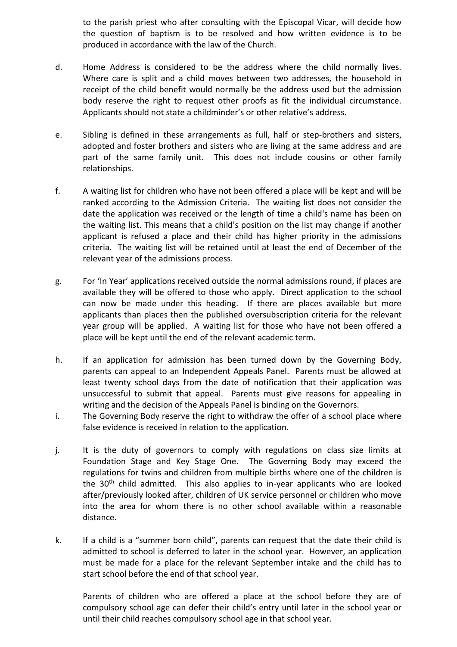to the parish priest who after consulting with the Episcopal Vicar, will decide how the question of baptism is to be resolved and how written evidence is to be produced in accordance with the law of the Church.

- d. Home Address is considered to be the address where the child normally lives. Where care is split and a child moves between two addresses, the household in receipt of the child benefit would normally be the address used but the admission body reserve the right to request other proofs as fit the individual circumstance. Applicants should not state a childminder's or other relative's address.
- e. Sibling is defined in these arrangements as full, half or step-brothers and sisters, adopted and foster brothers and sisters who are living at the same address and are part of the same family unit. This does not include cousins or other family relationships.
- f. A waiting list for children who have not been offered a place will be kept and will be ranked according to the Admission Criteria. The waiting list does not consider the date the application was received or the length of time a child's name has been on the waiting list. This means that a child's position on the list may change if another applicant is refused a place and their child has higher priority in the admissions criteria. The waiting list will be retained until at least the end of December of the relevant year of the admissions process.
- g. For 'In Year' applications received outside the normal admissions round, if places are available they will be offered to those who apply. Direct application to the school can now be made under this heading. If there are places available but more applicants than places then the published oversubscription criteria for the relevant year group will be applied. A waiting list for those who have not been offered a place will be kept until the end of the relevant academic term.
- h. If an application for admission has been turned down by the Governing Body, parents can appeal to an Independent Appeals Panel. Parents must be allowed at least twenty school days from the date of notification that their application was unsuccessful to submit that appeal. Parents must give reasons for appealing in writing and the decision of the Appeals Panel is binding on the Governors.
- i. The Governing Body reserve the right to withdraw the offer of a school place where false evidence is received in relation to the application.
- j. It is the duty of governors to comply with regulations on class size limits at Foundation Stage and Key Stage One. The Governing Body may exceed the regulations for twins and children from multiple births where one of the children is the  $30<sup>th</sup>$  child admitted. This also applies to in-year applicants who are looked after/previously looked after, children of UK service personnel or children who move into the area for whom there is no other school available within a reasonable distance.
- k. If a child is a "summer born child", parents can request that the date their child is admitted to school is deferred to later in the school year. However, an application must be made for a place for the relevant September intake and the child has to start school before the end of that school year.

Parents of children who are offered a place at the school before they are of compulsory school age can defer their child's entry until later in the school year or until their child reaches compulsory school age in that school year.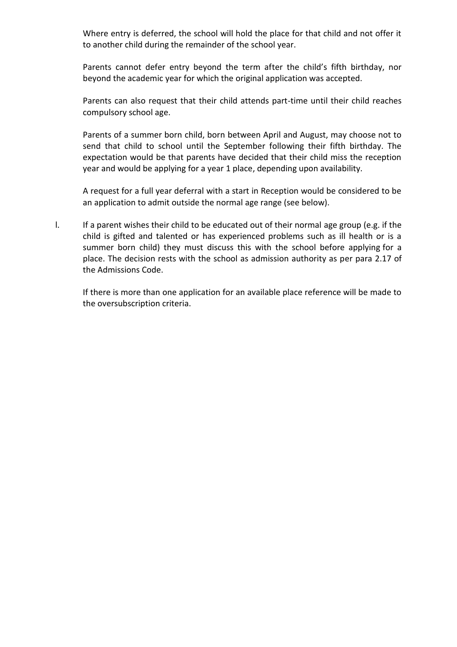Where entry is deferred, the school will hold the place for that child and not offer it to another child during the remainder of the school year.

Parents cannot defer entry beyond the term after the child's fifth birthday, nor beyond the academic year for which the original application was accepted.

Parents can also request that their child attends part-time until their child reaches compulsory school age.

Parents of a summer born child, born between April and August, may choose not to send that child to school until the September following their fifth birthday. The expectation would be that parents have decided that their child miss the reception year and would be applying for a year 1 place, depending upon availability.

A request for a full year deferral with a start in Reception would be considered to be an application to admit outside the normal age range (see below).

l. If a parent wishes their child to be educated out of their normal age group (e.g. if the child is gifted and talented or has experienced problems such as ill health or is a summer born child) they must discuss this with the school before applying for a place. The decision rests with the school as admission authority as per para 2.17 of the Admissions Code.

If there is more than one application for an available place reference will be made to the oversubscription criteria.